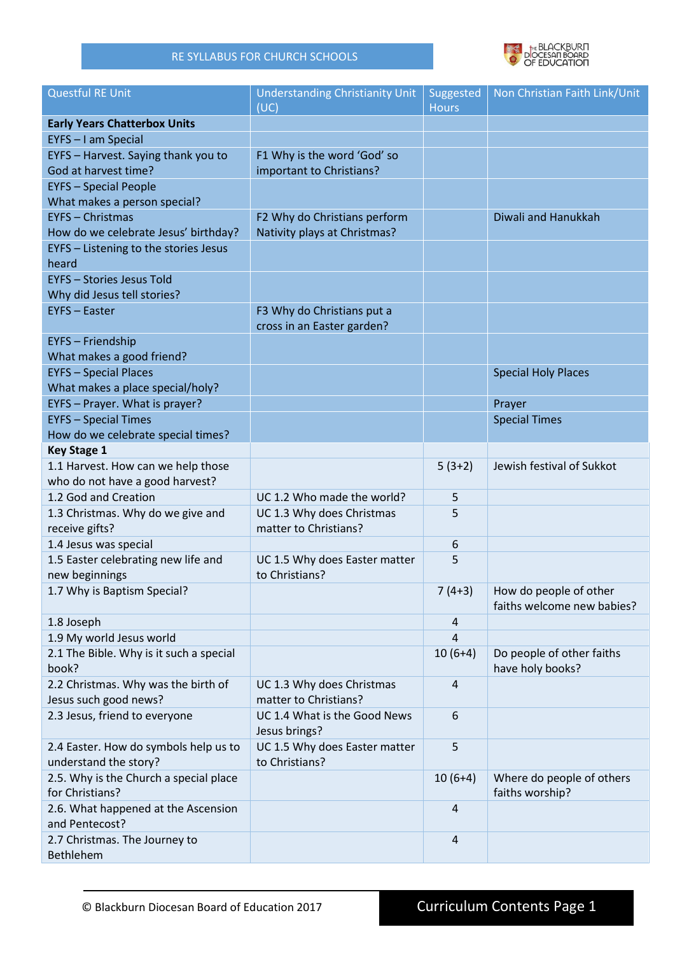## RE SYLLABUS FOR CHURCH SCHOOLS



| <b>Questful RE Unit</b>                 | <b>Understanding Christianity Unit</b><br>(UC) | Suggested<br><b>Hours</b> | Non Christian Faith Link/Unit |
|-----------------------------------------|------------------------------------------------|---------------------------|-------------------------------|
| <b>Early Years Chatterbox Units</b>     |                                                |                           |                               |
| EYFS - I am Special                     |                                                |                           |                               |
| EYFS - Harvest. Saying thank you to     | F1 Why is the word 'God' so                    |                           |                               |
| God at harvest time?                    | important to Christians?                       |                           |                               |
| <b>EYFS</b> - Special People            |                                                |                           |                               |
| What makes a person special?            |                                                |                           |                               |
| <b>EYFS - Christmas</b>                 | F2 Why do Christians perform                   |                           | Diwali and Hanukkah           |
| How do we celebrate Jesus' birthday?    | Nativity plays at Christmas?                   |                           |                               |
| EYFS - Listening to the stories Jesus   |                                                |                           |                               |
| heard                                   |                                                |                           |                               |
| <b>EYFS - Stories Jesus Told</b>        |                                                |                           |                               |
| Why did Jesus tell stories?             |                                                |                           |                               |
| <b>EYFS - Easter</b>                    | F3 Why do Christians put a                     |                           |                               |
|                                         | cross in an Easter garden?                     |                           |                               |
| EYFS - Friendship                       |                                                |                           |                               |
| What makes a good friend?               |                                                |                           |                               |
| <b>EYFS</b> - Special Places            |                                                |                           | <b>Special Holy Places</b>    |
| What makes a place special/holy?        |                                                |                           |                               |
| EYFS - Prayer. What is prayer?          |                                                |                           | Prayer                        |
| <b>EYFS</b> - Special Times             |                                                |                           | <b>Special Times</b>          |
| How do we celebrate special times?      |                                                |                           |                               |
| <b>Key Stage 1</b>                      |                                                |                           |                               |
| 1.1 Harvest. How can we help those      |                                                | $5(3+2)$                  | Jewish festival of Sukkot     |
| who do not have a good harvest?         |                                                |                           |                               |
| 1.2 God and Creation                    | UC 1.2 Who made the world?                     | 5                         |                               |
| 1.3 Christmas. Why do we give and       | UC 1.3 Why does Christmas                      | 5                         |                               |
| receive gifts?                          | matter to Christians?                          |                           |                               |
| 1.4 Jesus was special                   |                                                | 6                         |                               |
| 1.5 Easter celebrating new life and     | UC 1.5 Why does Easter matter                  | 5                         |                               |
| new beginnings                          | to Christians?                                 |                           |                               |
| 1.7 Why is Baptism Special?             |                                                | $7(4+3)$                  | How do people of other        |
|                                         |                                                |                           | faiths welcome new babies?    |
| 1.8 Joseph                              |                                                | $\overline{4}$            |                               |
| 1.9 My world Jesus world                |                                                | $\overline{4}$            |                               |
| 2.1 The Bible. Why is it such a special |                                                | $10(6+4)$                 | Do people of other faiths     |
| book?                                   |                                                |                           | have holy books?              |
| 2.2 Christmas. Why was the birth of     | UC 1.3 Why does Christmas                      | $\overline{4}$            |                               |
| Jesus such good news?                   | matter to Christians?                          |                           |                               |
| 2.3 Jesus, friend to everyone           | UC 1.4 What is the Good News<br>Jesus brings?  | 6                         |                               |
| 2.4 Easter. How do symbols help us to   | UC 1.5 Why does Easter matter                  | 5                         |                               |
| understand the story?                   | to Christians?                                 |                           |                               |
| 2.5. Why is the Church a special place  |                                                | $10(6+4)$                 | Where do people of others     |
| for Christians?                         |                                                |                           | faiths worship?               |
| 2.6. What happened at the Ascension     |                                                | $\overline{4}$            |                               |
| and Pentecost?                          |                                                |                           |                               |
| 2.7 Christmas. The Journey to           |                                                | $\overline{4}$            |                               |
| Bethlehem                               |                                                |                           |                               |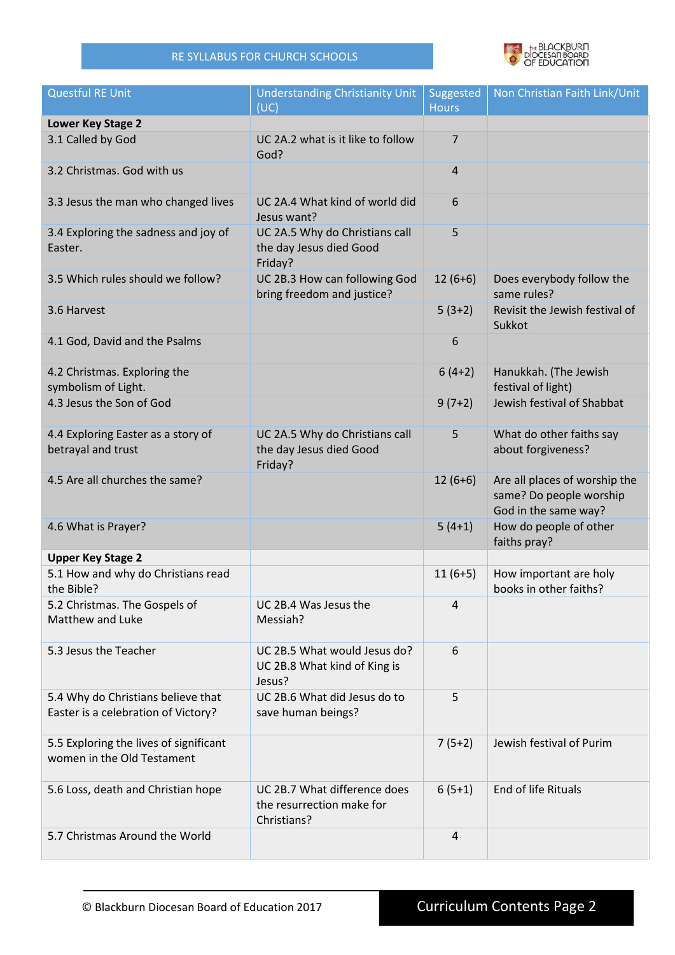## RE SYLLABUS FOR CHURCH SCHOOLS



| <b>Questful RE Unit</b>                                                   | <b>Understanding Christianity Unit</b><br>(UC)                           | Suggested<br><b>Hours</b> | Non Christian Faith Link/Unit                                                    |
|---------------------------------------------------------------------------|--------------------------------------------------------------------------|---------------------------|----------------------------------------------------------------------------------|
| Lower Key Stage 2                                                         |                                                                          |                           |                                                                                  |
| 3.1 Called by God                                                         | UC 2A.2 what is it like to follow<br>God?                                | $\overline{7}$            |                                                                                  |
| 3.2 Christmas. God with us                                                |                                                                          | $\overline{4}$            |                                                                                  |
| 3.3 Jesus the man who changed lives                                       | UC 2A.4 What kind of world did<br>Jesus want?                            | 6                         |                                                                                  |
| 3.4 Exploring the sadness and joy of<br>Easter.                           | UC 2A.5 Why do Christians call<br>the day Jesus died Good<br>Friday?     | 5                         |                                                                                  |
| 3.5 Which rules should we follow?                                         | UC 2B.3 How can following God<br>bring freedom and justice?              | $12(6+6)$                 | Does everybody follow the<br>same rules?                                         |
| 3.6 Harvest                                                               |                                                                          | $5(3+2)$                  | Revisit the Jewish festival of<br>Sukkot                                         |
| 4.1 God, David and the Psalms                                             |                                                                          | 6                         |                                                                                  |
| 4.2 Christmas. Exploring the<br>symbolism of Light.                       |                                                                          | $6(4+2)$                  | Hanukkah. (The Jewish<br>festival of light)                                      |
| 4.3 Jesus the Son of God                                                  |                                                                          | $9(7+2)$                  | Jewish festival of Shabbat                                                       |
| 4.4 Exploring Easter as a story of<br>betrayal and trust                  | UC 2A.5 Why do Christians call<br>the day Jesus died Good<br>Friday?     | 5                         | What do other faiths say<br>about forgiveness?                                   |
| 4.5 Are all churches the same?                                            |                                                                          | $12(6+6)$                 | Are all places of worship the<br>same? Do people worship<br>God in the same way? |
| 4.6 What is Prayer?                                                       |                                                                          | $5(4+1)$                  | How do people of other<br>faiths pray?                                           |
| <b>Upper Key Stage 2</b>                                                  |                                                                          |                           |                                                                                  |
| 5.1 How and why do Christians read<br>the Bible?                          |                                                                          | $11(6+5)$                 | How important are holy<br>books in other faiths?                                 |
| 5.2 Christmas. The Gospels of<br>Matthew and Luke                         | UC 2B.4 Was Jesus the<br>Messiah?                                        | 4                         |                                                                                  |
| 5.3 Jesus the Teacher                                                     | UC 2B.5 What would Jesus do?<br>UC 2B.8 What kind of King is<br>Jesus?   | 6                         |                                                                                  |
| 5.4 Why do Christians believe that<br>Easter is a celebration of Victory? | UC 2B.6 What did Jesus do to<br>save human beings?                       | 5                         |                                                                                  |
| 5.5 Exploring the lives of significant<br>women in the Old Testament      |                                                                          | $7(5+2)$                  | Jewish festival of Purim                                                         |
| 5.6 Loss, death and Christian hope                                        | UC 2B.7 What difference does<br>the resurrection make for<br>Christians? | $6(5+1)$                  | End of life Rituals                                                              |
| 5.7 Christmas Around the World                                            |                                                                          | $\overline{4}$            |                                                                                  |